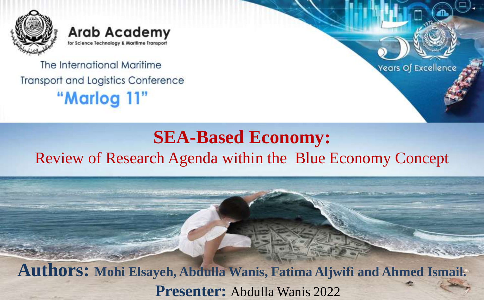

**Arab Academy** for Science Technology & Maritime Transport

The International Maritime **Transport and Logistics Conference** "Marlog 11"



#### **SEA-Based Economy:** Review of Research Agenda within the Blue Economy Concept

**Authors: Mohi Elsayeh, Abdulla Wanis, Fatima Aljwifi and Ahmed Ismail. Presenter:** Abdulla Wanis 2022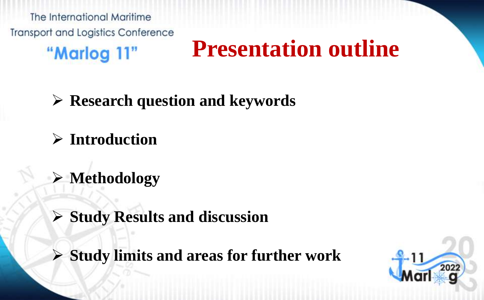The International Maritime **Transport and Logistics Conference** 

"Marlog 11"

### **Presentation outline**

**Research question and keywords**

**Introduction**

**Methodology**

**Study Results and discussion**

**Study limits and areas for further work**

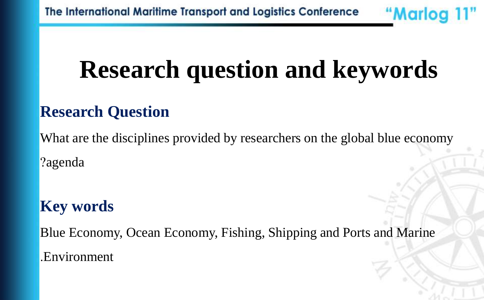## **Research question and keywords**

"Marlog 11"

#### **Research Question**

What are the disciplines provided by researchers on the global blue economy ?agenda

#### **Key words**

Blue Economy, Ocean Economy, Fishing, Shipping and Ports and Marine .Environment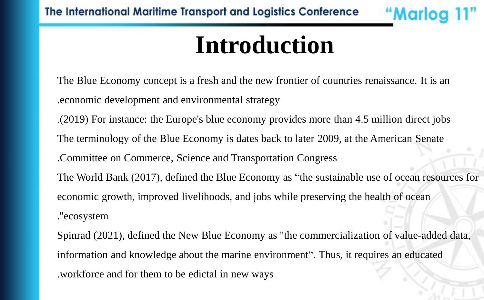### **Introduction**

"Marlog 11

The Blue Economy concept is a fresh and the new frontier of countries renaissance. It is an .economic development and environmental strategy

.)2019( For instance: the Europe's blue economy provides more than 4.5 million direct jobs The terminology of the Blue Economy is dates back to later 2009, at the American Senate .Committee on Commerce, Science and Transportation Congress The World Bank (2017), defined the Blue Economy as "the sustainable use of ocean resources for economic growth, improved livelihoods, and jobs while preserving the health of ocean .''ecosystem

Spinrad (2021), defined the New Blue Economy as ''the commercialization of value-added data, information and knowledge about the marine environment". Thus, it requires an educated .workforce and for them to be edictal in new ways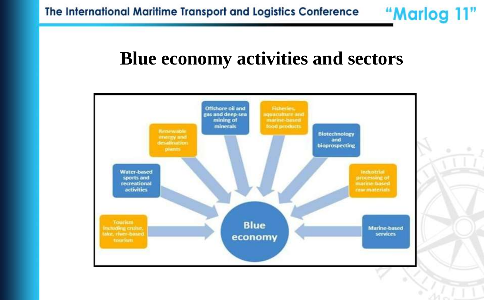#### **Blue economy activities and sectors**

"Marlog 11"

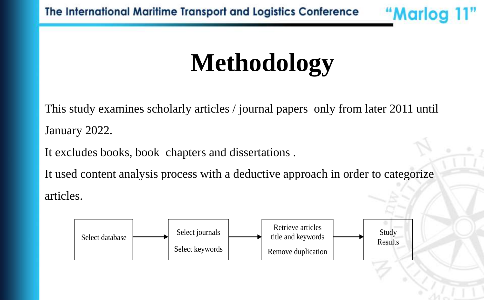The International Maritime Transport and Logistics Conference

## **Methodology**

"Marlog 11"

This study examines scholarly articles / journal papers only from later 2011 until January 2022.

It excludes books, book chapters and dissertations .

It used content analysis process with a deductive approach in order to categorize articles.

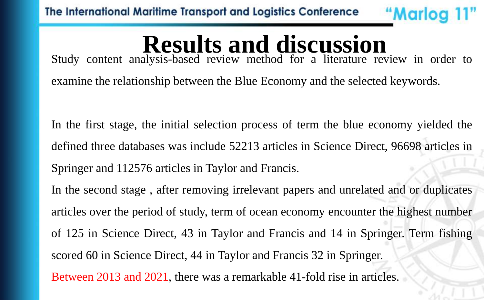# **Results and discussion**

"Marlog 11"

Study content analysis-based review method for a literature review in order to examine the relationship between the Blue Economy and the selected keywords.

In the first stage, the initial selection process of term the blue economy yielded the defined three databases was include 52213 articles in Science Direct, 96698 articles in Springer and 112576 articles in Taylor and Francis.

In the second stage , after removing irrelevant papers and unrelated and or duplicates articles over the period of study, term of ocean economy encounter the highest number of 125 in Science Direct, 43 in Taylor and Francis and 14 in Springer. Term fishing scored 60 in Science Direct, 44 in Taylor and Francis 32 in Springer. Between 2013 and 2021, there was a remarkable 41-fold rise in articles.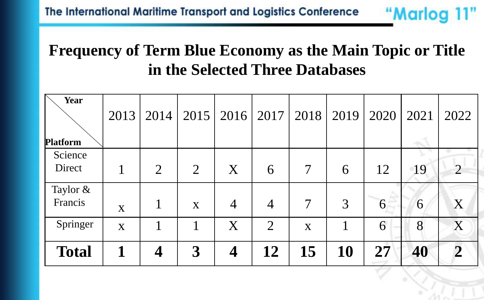#### **Frequency of Term Blue Economy as the Main Topic or Title in the Selected Three Databases**

"Marlog 11"

| Year<br><b>Platform</b> | 2013        | 2014           | 2015           |                | $2016$   2017  | 2018                     | 2019 | 2020 | 2021 | 2022                        |
|-------------------------|-------------|----------------|----------------|----------------|----------------|--------------------------|------|------|------|-----------------------------|
| Science<br>Direct       |             | $\overline{2}$ | $\overline{2}$ | X              | 6              | $\overline{\mathcal{I}}$ | 6    | 12   | 19   | $\mathcal{D}_{\mathcal{L}}$ |
| Taylor $&$<br>Francis   | X           |                | X              | $\overline{4}$ | $\overline{4}$ | $\overline{7}$           | 3    | 6    | 6    | X                           |
| Springer                | $\mathbf X$ |                |                | X              | $\overline{2}$ | $\mathbf{X}$             |      | 6    | 8    | X                           |
| <b>Total</b>            |             | 4              | 3              | 4              | 12             | 15                       | 10   | 27   | 40   | $\overline{2}$              |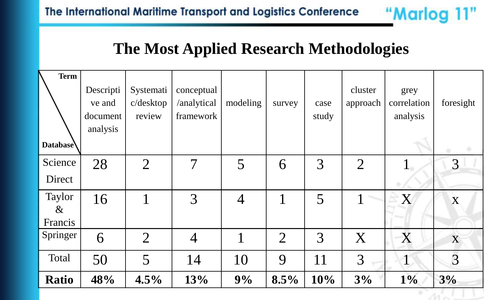

"Marlog 11"

An es

| <b>Term</b><br>Database   | Descripti<br>ve and<br>document<br>analysis | Systemati<br>c/desktop<br>review | conceptual<br>/analytical<br>framework | modeling    | survey         | case<br>study | cluster<br>approach | grey<br>correlation<br>analysis | foresight      |
|---------------------------|---------------------------------------------|----------------------------------|----------------------------------------|-------------|----------------|---------------|---------------------|---------------------------------|----------------|
| Science<br>Direct         | 28                                          | $\overline{2}$                   | $\overline{\mathcal{I}}$               | 5           | 6              | 3             | $\overline{2}$      |                                 | 3              |
| Taylor<br>$\&$<br>Francis | 16                                          | 1                                | 3                                      | 4           |                | 5             |                     | X                               | X              |
| Springer                  | 6                                           | $\overline{2}$                   | $\overline{4}$                         | $\mathbf 1$ | $\overline{2}$ | 3             | X                   | X                               | X              |
| Total                     | 50                                          | 5                                | 14                                     | 10          | 9              | 11            | 3                   | $\mathbf{1}$                    | $\overline{3}$ |
| <b>Ratio</b>              | 48%                                         | 4.5%                             | 13%                                    | 9%          | 8.5%           | 10%           | 3%                  | $1\%$                           | 3%             |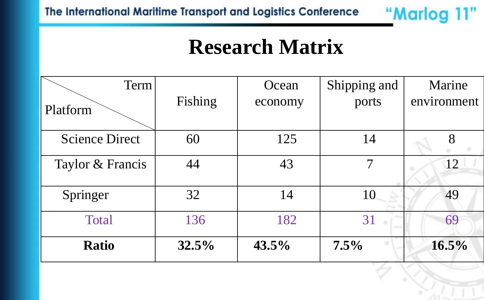

### **Research Matrix**

| Term                  |         | Ocean    | Shipping and | Marine      |
|-----------------------|---------|----------|--------------|-------------|
| Platform              | Fishing | economy  | ports        | environment |
| <b>Science Direct</b> | 60      | 125      | 14           | 8           |
| Taylor & Francis      | 44      | 43       | 7            | 12          |
| Springer              | 32      | 14       | 10           | 49          |
| <b>Total</b>          | 136     | 182      | 31           | 69          |
| <b>Ratio</b>          | 32.5%   | $43.5\%$ | 7.5%         | $16.5\%$    |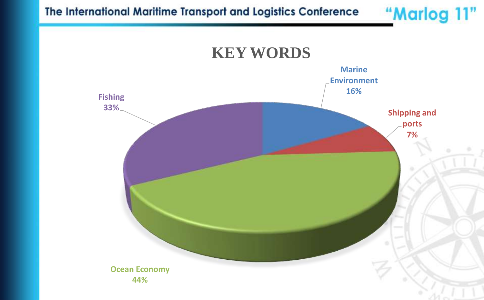The International Maritime Transport and Logistics Conference

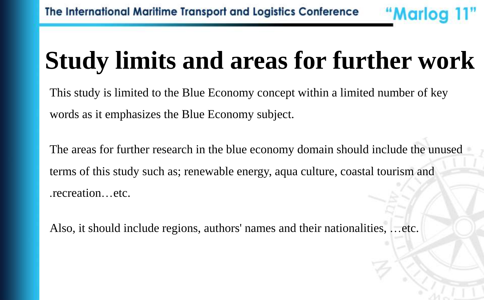## **Study limits and areas for further work**

"Marlog 11"

This study is limited to the Blue Economy concept within a limited number of key words as it emphasizes the Blue Economy subject.

The areas for further research in the blue economy domain should include the unused terms of this study such as; renewable energy, aqua culture, coastal tourism and .recreation…etc.

Also, it should include regions, authors' names and their nationalities, …etc.